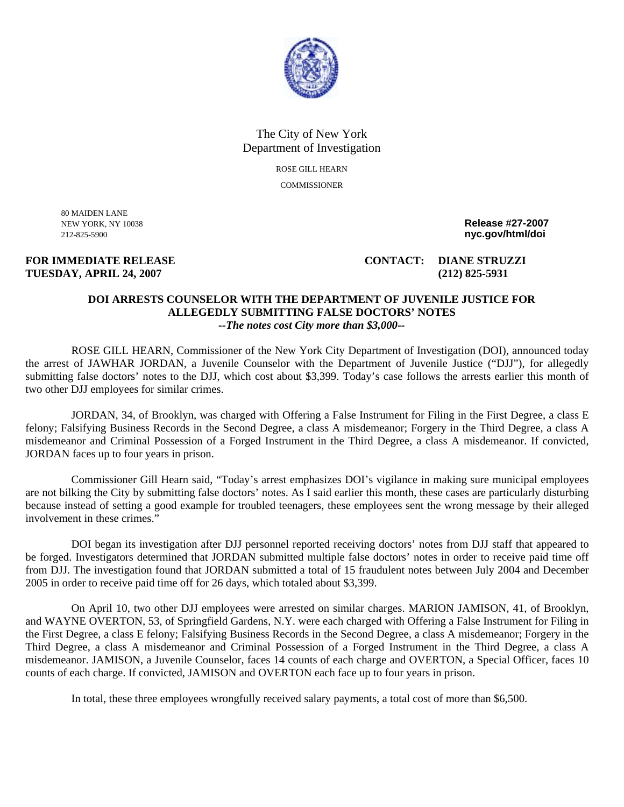

## The City of New York Department of Investigation ROSE GILL HEARN

**COMMISSIONER** 

80 MAIDEN LANE

## **TUESDAY, APRIL 24, 2007 (212) 825-5931**

NEW YORK, NY 10038 **Release #27-2007**  212-825-5900 **nyc.gov/html/doi** 

**FOR IMMEDIATE RELEASE CONTACT: DIANE STRUZZI** 

## **DOI ARRESTS COUNSELOR WITH THE DEPARTMENT OF JUVENILE JUSTICE FOR ALLEGEDLY SUBMITTING FALSE DOCTORS' NOTES**  *--The notes cost City more than \$3,000--*

ROSE GILL HEARN, Commissioner of the New York City Department of Investigation (DOI), announced today the arrest of JAWHAR JORDAN, a Juvenile Counselor with the Department of Juvenile Justice ("DJJ"), for allegedly submitting false doctors' notes to the DJJ, which cost about \$3,399. Today's case follows the arrests earlier this month of two other DJJ employees for similar crimes.

JORDAN, 34, of Brooklyn, was charged with Offering a False Instrument for Filing in the First Degree, a class E felony; Falsifying Business Records in the Second Degree, a class A misdemeanor; Forgery in the Third Degree, a class A misdemeanor and Criminal Possession of a Forged Instrument in the Third Degree, a class A misdemeanor. If convicted, JORDAN faces up to four years in prison.

Commissioner Gill Hearn said, "Today's arrest emphasizes DOI's vigilance in making sure municipal employees are not bilking the City by submitting false doctors' notes. As I said earlier this month, these cases are particularly disturbing because instead of setting a good example for troubled teenagers, these employees sent the wrong message by their alleged involvement in these crimes."

DOI began its investigation after DJJ personnel reported receiving doctors' notes from DJJ staff that appeared to be forged. Investigators determined that JORDAN submitted multiple false doctors' notes in order to receive paid time off from DJJ. The investigation found that JORDAN submitted a total of 15 fraudulent notes between July 2004 and December 2005 in order to receive paid time off for 26 days, which totaled about \$3,399.

On April 10, two other DJJ employees were arrested on similar charges. MARION JAMISON, 41, of Brooklyn, and WAYNE OVERTON, 53, of Springfield Gardens, N.Y. were each charged with Offering a False Instrument for Filing in the First Degree, a class E felony; Falsifying Business Records in the Second Degree, a class A misdemeanor; Forgery in the Third Degree, a class A misdemeanor and Criminal Possession of a Forged Instrument in the Third Degree, a class A misdemeanor. JAMISON, a Juvenile Counselor, faces 14 counts of each charge and OVERTON, a Special Officer, faces 10 counts of each charge. If convicted, JAMISON and OVERTON each face up to four years in prison.

In total, these three employees wrongfully received salary payments, a total cost of more than \$6,500.